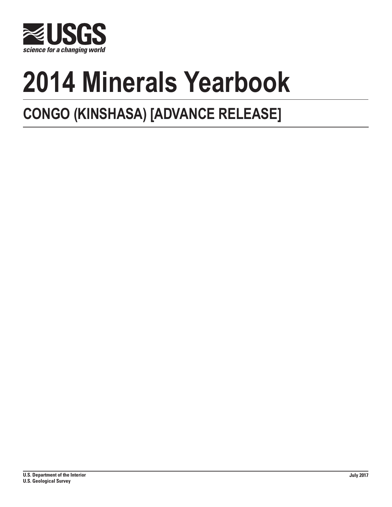

# **2014 Minerals Yearbook**

## **CONGO (KINSHASA) [ADVANCE RELEASE]**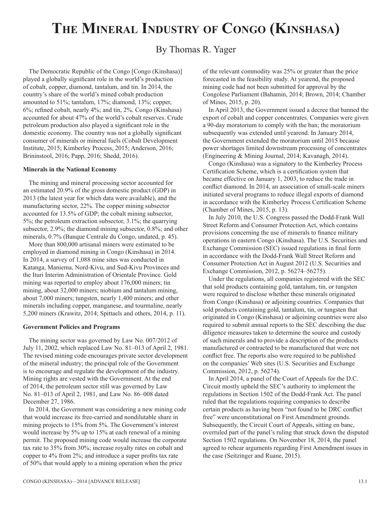### **The Mineral Industry of Congo (Kinshasa)**

#### By Thomas R. Yager

The Democratic Republic of the Congo [Congo (Kinshasa)] played a globally significant role in the world's production of cobalt, copper, diamond, tantalum, and tin. In 2014, the country's share of the world's mined cobalt production amounted to 51%; tantalum, 17%; diamond, 13%; copper, 6%; refined cobalt, nearly 4%; and tin, 2%. Congo (Kinshasa) accounted for about 47% of the world's cobalt reserves. Crude petroleum production also played a significant role in the domestic economy. The country was not a globally significant consumer of minerals or mineral fuels (Cobalt Development Institute, 2015; Kimberley Process, 2015; Anderson, 2016; Brininstool, 2016; Papp, 2016; Shedd, 2016).

#### **Minerals in the National Economy**

The mining and mineral processing sector accounted for an estimated 20.9% of the gross domestic product (GDP) in 2013 (the latest year for which data were available), and the manufacturing sector, 22%. The copper mining subsector accounted for 13.5% of GDP; the cobalt mining subsector, 5%; the petroleum extraction subsector, 3.1%; the quarrying subsector, 2.9%; the diamond mining subsector, 0.8%; and other minerals, 0.7% (Banque Centrale du Congo, undated, p. 45).

More than 800,000 artisanal miners were estimated to be employed in diamond mining in Congo (Kinshasa) in 2014. In 2014, a survey of 1,088 mine sites was conducted in Katanga, Maniema, Nord-Kivu, and Sud-Kivu Provinces and the Ituri Interim Administration of Orientale Province. Gold mining was reported to employ about 176,000 miners; tin mining, about 32,000 miners; niobium and tantalum mining, about 7,000 miners; tungsten, nearly 1,400 miners; and other minerals including copper, manganese, and tourmaline, nearly 5,200 miners (Krawitz, 2014; Spittaels and others, 2014, p. 11).

#### **Government Policies and Programs**

The mining sector was governed by Law No. 007/2012 of July 11, 2002, which replaced Law No. 81–013 of April 2, 1981. The revised mining code encourages private sector development of the mineral industry; the principal role of the Government is to encourage and regulate the development of the industry. Mining rights are vested with the Government. At the end of 2014, the petroleum sector still was governed by Law No. 81–013 of April 2, 1981, and Law No. 86–008 dated December 27, 1986.

In 2014, the Government was considering a new mining code that would increase its free-carried and nondilutable share in mining projects to 15% from 5%. The Government's interest would increase by 5% up to 15% at each renewal of a mining permit. The proposed mining code would increase the corporate tax rate to 35% from 30%; increase royalty rates on cobalt and copper to 4% from 2%; and introduce a super profits tax rate of 50% that would apply to a mining operation when the price

of the relevant commodity was 25% or greater than the price forecasted in the feasibility study. At yearend, the proposed mining code had not been submitted for approval by the Congolese Parliament (Bahamin, 2014; Brown, 2014; Chamber of Mines, 2015, p. 20).

In April 2013, the Government issued a decree that banned the export of cobalt and copper concentrates. Companies were given a 90-day moratorium to comply with the ban; the moratorium subsequently was extended until yearend. In January 2014, the Government extended the moratorium until 2015 because power shortages limited downstream processing of concentrates (Engineering & Mining Journal, 2014; Kavanagh, 2014).

Congo (Kinshasa) was a signatory to the Kimberley Process Certification Scheme, which is a certification system that became effective on January 1, 2003, to reduce the trade in conflict diamond. In 2014, an association of small-scale miners initiated several programs to reduce illegal exports of diamond in accordance with the Kimberley Process Certification Scheme (Chamber of Mines, 2015, p. 13).

In July 2010, the U.S. Congress passed the Dodd-Frank Wall Street Reform and Consumer Protection Act, which contains provisions concerning the use of minerals to finance military operations in eastern Congo (Kinshasa). The U.S. Securities and Exchange Commission (SEC) issued regulations in final form in accordance with the Dodd-Frank Wall Street Reform and Consumer Protection Act in August 2012 (U.S. Securities and Exchange Commission, 2012, p. 56274–56275).

Under the regulations, all companies registered with the SEC that sold products containing gold, tantalum, tin, or tungsten were required to disclose whether these minerals originated from Congo (Kinshasa) or adjoining countries. Companies that sold products containing gold, tantalum, tin, or tungsten that originated in Congo (Kinshasa) or adjoining countries were also required to submit annual reports to the SEC describing the due diligence measures taken to determine the source and custody of such minerals and to provide a description of the products manufactured or contracted to be manufactured that were not conflict free. The reports also were required to be published on the companies' Web sites (U.S. Securities and Exchange Commission, 2012, p. 56274).

In April 2014, a panel of the Court of Appeals for the D.C. Circuit mostly upheld the SEC's authority to implement the regulations in Section 1502 of the Dodd-Frank Act. The panel ruled that the regulations requiring companies to describe certain products as having been "not found to be DRC conflict free" were unconstitutional on First Amendment grounds. Subsequently, the Circuit Court of Appeals, sitting en banc, overruled part of the panel's ruling that struck down the disputed Section 1502 regulations. On November 18, 2014, the panel agreed to rehear arguments regarding First Amendment issues in the case (Seitzinger and Ruane, 2015).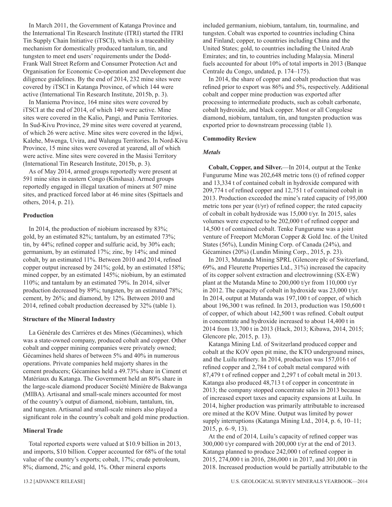In March 2011, the Government of Katanga Province and the International Tin Research Institute (ITRI) started the ITRI Tin Supply Chain Initiative (iTSCI), which is a traceability mechanism for domestically produced tantalum, tin, and tungsten to meet end users' requirements under the Dodd-Frank Wall Street Reform and Consumer Protection Act and Organisation for Economic Co-operation and Development due diligence guidelines. By the end of 2014, 232 mine sites were covered by iTSCI in Katanga Province, of which 144 were active (International Tin Research Institute, 2015b, p. 3).

In Maniema Province, 164 mine sites were covered by iTSCI at the end of 2014, of which 140 were active. Mine sites were covered in the Kalio, Pangi, and Punia Territories. In Sud-Kivu Province, 29 mine sites were covered at yearend, of which 26 were active. Mine sites were covered in the Idjwi, Kalehe, Mwenga, Uvira, and Walungu Territories. In Nord-Kivu Province, 15 mine sites were covered at yearend, all of which were active. Mine sites were covered in the Masisi Territory (International Tin Research Institute, 2015b, p. 3).

As of May 2014, armed groups reportedly were present at 591 mine sites in eastern Congo (Kinshasa). Armed groups reportedly engaged in illegal taxation of miners at 507 mine sites, and practiced forced labor at 46 mine sites (Spittaels and others, 2014, p. 21).

#### **Production**

In 2014, the production of niobium increased by 83%; gold, by an estimated 82%; tantalum, by an estimated 73%; tin, by 44%; refined copper and sulfuric acid, by 30% each; germanium, by an estimated 17%; zinc, by 14%; and mined cobalt, by an estimated 11%. Between 2010 and 2014, refined copper output increased by 241%; gold, by an estimated 158%; mined copper, by an estimated 145%; niobium, by an estimated 110%; and tantalum by an estimated 79%. In 2014, silver production decreased by 89%; tungsten, by an estimated 78%; cement, by 26%; and diamond, by 12%. Between 2010 and 2014, refined cobalt production decreased by 32% (table 1).

#### **Structure of the Mineral Industry**

La Générale des Carrières et des Mines (Gécamines), which was a state-owned company, produced cobalt and copper. Other cobalt and copper mining companies were privately owned; Gécamines held shares of between 5% and 40% in numerous operations. Private companies held majorty shares in the cement producers; Gécamines held a 49.73% share in Ciment et Matériaux du Katanga. The Government held an 80% share in the large-scale diamond producer Société Minière de Bakwanga (MIBA). Artisanal and small-scale miners accounted for most of the country's output of diamond, niobium, tantalum, tin, and tungsten. Artisanal and small-scale miners also played a significant role in the country's cobalt and gold mine production.

#### **Mineral Trade**

Total reported exports were valued at \$10.9 billion in 2013, and imports, \$10 billion. Copper accounted for 68% of the total value of the country's exports; cobalt, 17%; crude petroleum, 8%; diamond, 2%; and gold, 1%. Other mineral exports

included germanium, niobium, tantalum, tin, tourmaline, and tungsten. Cobalt was exported to countries including China and Finland; copper, to countries including China and the United States; gold, to countries including the United Arab Emirates; and tin, to countries including Malaysia. Mineral fuels accounted for about 10% of total imports in 2013 (Banque Centrale du Congo, undated, p. 174–175).

In 2014, the share of copper and cobalt production that was refined prior to export was 86% and 5%, respectively. Additional cobalt and copper mine production was exported after processing to intermediate products, such as cobalt carbonate, cobalt hydroxide, and black copper. Most or all Congolese diamond, niobium, tantalum, tin, and tungsten production was exported prior to downstream processing (table 1).

#### **Commodity Review**

#### *Metals*

**Cobalt, Copper, and Silver.**—In 2014, output at the Tenke Fungurume Mine was 202,648 metric tons (t) of refined copper and 13,334 t of contained cobalt in hydroxide compared with 209,774 t of refined copper and 12,751 t of contained cobalt in 2013. Production exceeded the mine's rated capacity of 195,000 metric tons per year (t/yr) of refined copper; the rated capacity of cobalt in cobalt hydroxide was 15,000 t/yr. In 2015, sales volumes were expected to be 202,000 t of refined copper and 14,500 t of contained cobalt. Tenke Fungurume was a joint venture of Freeport McMoran Copper & Gold Inc. of the United States (56%), Lundin Mining Corp. of Canada (24%), and Gécamines (20%) (Lundin Mining Corp., 2015, p. 23).

In 2013, Mutanda Mining SPRL (Glencore plc of Switzerland, 69%, and Fleurette Properties Ltd., 31%) increased the capacity of its copper solvent extraction and electrowinning (SX-EW) plant at the Mutanda Mine to 200,000 t/yr from 110,000 t/yr in 2012. The capacity of cobalt in hydroxide was 23,000 t/yr. In 2014, output at Mutanda was 197,100 t of copper, of which about 196,300 t was refined. In 2013, production was 150,600 t of copper, of which about 142,500 t was refined. Cobalt output in concentrate and hydroxide increased to about 14,400 t in 2014 from 13,700 t in 2013 (Hack, 2013; Kibawa, 2014, 2015; Glencore plc, 2015, p. 13).

Katanga Mining Ltd. of Switzerland produced copper and cobalt at the KOV open pit mine, the KTO underground mines, and the Luilu refinery. In 2014, production was 157,016 t of refined copper and 2,784 t of cobalt metal compared with 87,479 t of refined copper and 2,297 t of cobalt metal in 2013. Katanga also produced 48,713 t of copper in concentrate in 2013; the company stopped concentrate sales in 2013 because of increased export taxes and capacity expansions at Luilu. In 2014, higher production was primarily attributable to increased ore mined at the KOV Mine. Output was limited by power supply interruptions (Katanga Mining Ltd., 2014, p. 6, 10–11; 2015, p. 6–9, 13).

At the end of 2014, Luilu's capacity of refined copper was 300,000 t/yr compared with 200,000 t/yr at the end of 2013. Katanga planned to produce 242,000 t of refined copper in 2015, 274,000 t in 2016, 286,000 t in 2017, and 301,000 t in 2018. Increased production would be partially attributable to the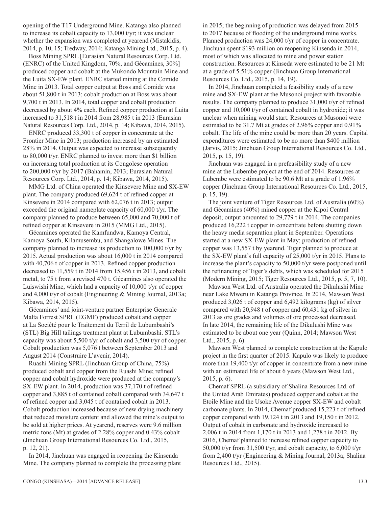opening of the T17 Underground Mine. Katanga also planned to increase its cobalt capacity to 13,000 t/yr; it was unclear whether the expansion was completed at yearend (Mistakidis, 2014, p. 10, 15; Tredway, 2014; Katanga Mining Ltd., 2015, p. 4).

Boss Mining SPRL [Eurasian Natural Resources Corp. Ltd. (ENRC) of the United Kingdom, 70%, and Gécamines, 30%] produced copper and cobalt at the Mukondo Mountain Mine and the Luita SX-EW plant. ENRC started mining at the Comide Mine in 2013. Total copper output at Boss and Comide was about 51,800 t in 2013; cobalt production at Boss was about 9,700 t in 2013. In 2014, total copper and cobalt production decreased by about 4% each. Refined copper production at Luita increased to 31,518 t in 2014 from 28,985 t in 2013 (Eurasian Natural Resources Corp. Ltd., 2014, p. 14; Kibawa, 2014, 2015).

ENRC produced 33,300 t of copper in concentrate at the Frontier Mine in 2013; production increased by an estimated 28% in 2014. Output was expected to increase subsequently to 80,000 t/yr. ENRC planned to invest more than \$1 billion on increasing total production at its Congolese operation to 200,000 t/yr by 2017 (Bahamin, 2013; Eurasian Natural Resources Corp. Ltd., 2014, p. 14; Kibawa, 2014, 2015).

MMG Ltd. of China operated the Kinsevere Mine and SX-EW plant. The company produced 69,624 t of refined copper at Kinsevere in 2014 compared with 62,076 t in 2013; output exceeded the original nameplate capacity of 60,000 t/yr. The company planned to produce between 65,000 and 70,000 t of refined copper at Kinsevere in 2015 (MMG Ltd., 2015).

Gécamines operated the Kamfundwa, Kamoya Central, Kamoya South, Kilamusembu, and Shangalowe Mines. The company planned to increase its production to 100,000 t/yr by 2015. Actual production was about 16,000 t in 2014 compared with 40,706 t of copper in 2013. Refined copper production decreased to 11,559 t in 2014 from 15,456 t in 2013, and cobalt metal, to 75 t from a revised 470 t. Gécamines also operated the Luiswishi Mine, which had a capacity of 10,000 t/yr of copper and 4,000 t/yr of cobalt (Engineering & Mining Journal, 2013a; Kibawa, 2014, 2015).

Gécamines' and joint-venture partner Enterprise Generale Malta Forrest SPRL (EGMF) produced cobalt and copper at La Société pour le Traitement du Terril de Lubumbashi's (STL) Big Hill tailings treatment plant at Lubumbashi. STL's capacity was about 5,500 t/yr of cobalt and 3,500 t/yr of copper. Cobalt production was 5,076 t between September 2013 and August 2014 (Construire L'avenir, 2014).

Ruashi Mining SPRL (Jinchuan Group of China, 75%) produced cobalt and copper from the Ruashi Mine; refined copper and cobalt hydroxide were produced at the company's SX-EW plant. In 2014, production was 37,170 t of refined copper and 3,885 t of contained cobalt compared with 34,647 t of refined copper and 3,045 t of contained cobalt in 2013. Cobalt production increased because of new drying machinery that reduced moisture content and allowed the mine's output to be sold at higher prices. At yearend, reserves were 9.6 million metric tons (Mt) at grades of 2.28% copper and 0.43% cobalt (Jinchuan Group International Resources Co. Ltd., 2015, p. 12, 21).

In 2014, Jinchuan was engaged in reopening the Kinsenda Mine. The company planned to complete the processing plant in 2015; the beginning of production was delayed from 2015 to 2017 because of flooding of the underground mine works. Planned production was 24,000 t/yr of copper in concentrate. Jinchuan spent \$193 million on reopening Kinsenda in 2014, most of which was allocated to mine and power station construction. Resources at Kinseda were estimated to be 21 Mt at a grade of 5.51% copper (Jinchuan Group International Resources Co. Ltd., 2015, p. 14, 19).

In 2014, Jinchuan completed a feasibility study of a new mine and SX-EW plant at the Musonoi project with favorable results. The company planned to produce 31,000 t/yr of refined copper and 10,000 t/yr of contained cobalt in hydroxide; it was unclear when mining would start. Resources at Musonoi were estimated to be 31.7 Mt at grades of 2.96% copper and 0.91% cobalt. The life of the mine could be more than 20 years. Capital expenditures were estimated to be no more than \$400 million (Jarvis, 2015; Jinchuan Group International Resources Co. Ltd., 2015, p. 15, 19).

Jinchuan was engaged in a prefeasibility study of a new mine at the Lubembe project at the end of 2014. Resources at Lubembe were estimated to be 90.6 Mt at a grade of 1.96% copper (Jinchuan Group International Resources Co. Ltd., 2015, p. 15, 19).

The joint venture of Tiger Resources Ltd. of Australia (60%) and Gécamines (40%) mined copper at the Kipoi Central deposit; output amounted to 29,779 t in 2014. The companies produced 16,222 t copper in concentrate before shutting down the heavy media separation plant in September. Operations started at a new SX-EW plant in May; production of refined copper was 13,557 t by yearend. Tiger planned to produce at the SX-EW plant's full capacity of 25,000 t/yr in 2015. Plans to increase the plant's capacity to 50,000 t/yr were postponed until the refinancing of Tiger's debts, which was scheduled for 2015 (Modern Mining, 2015; Tiger Resources Ltd., 2015, p. 5, 7, 10).

Mawson West Ltd. of Australia operated the Dikulushi Mine near Lake Mweru in Katanga Province. In 2014, Mawson West produced 3,026 t of copper and 6,492 kilograms (kg) of silver compared with 20,948 t of copper and 60,431 kg of silver in 2013 as ore grades and volumes of ore processed decreased. In late 2014, the remaining life of the Dikulushi Mine was estimated to be about one year (Quinn, 2014; Mawson West Ltd., 2015, p. 6).

Mawson West planned to complete construction at the Kapulo project in the first quarter of 2015. Kapulo was likely to produce more than 19,400 t/yr of copper in concentrate from a new mine with an estimated life of about 6 years (Mawson West Ltd., 2015, p. 6).

Chemaf SPRL (a subsidiary of Shalina Resources Ltd. of the United Arab Emirates) produced copper and cobalt at the Etoile Mine and the Usoke Avenue copper SX-EW and cobalt carbonate plants. In 2014, Chemaf produced 15,223 t of refined copper compared with 19,124 t in 2013 and 19,150 t in 2012. Output of cobalt in carbonate and hydroxide increased to 2,006 t in 2014 from 1,170 t in 2013 and 1,278 t in 2012. By 2016, Chemaf planned to increase refined copper capacity to 50,000 t/yr from 31,500 t/yr, and cobalt capacity, to 6,000 t/yr from 2,400 t/yr (Engineering & Mining Journal, 2013a; Shalina Resources Ltd., 2015).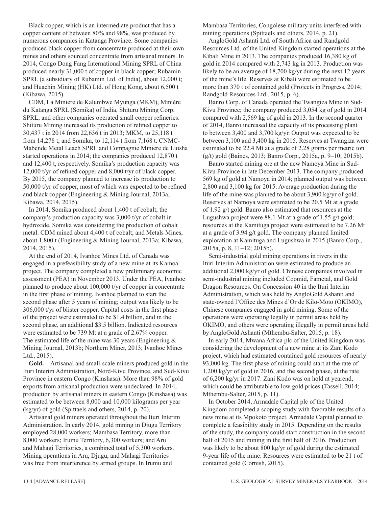Black copper, which is an intermediate product that has a copper content of between 80% and 98%, was produced by numerous companies in Katanga Province. Some companies produced black copper from concentrate produced at their own mines and others sourced concentrate from artisanal miners. In 2014, Congo Dong Fang International Mining SPRL of China produced nearly 31,000 t of copper in black copper; Rubamin SPRL (a subsidiary of Rubamin Ltd. of India), about 12,000 t; and Huachin Mining (HK) Ltd. of Hong Kong, about 6,500 t (Kibawa, 2015).

CDM, La Minière de Kalumbwe Myunga (MKM), Minière du Katanga SPRL (Somika) of India, Shituru Mining Corp. SPRL, and other companies operated small copper refineries. Shituru Mining increased its production of refined copper to 30,437 t in 2014 from 22,636 t in 2013; MKM, to 25,118 t from 14,278 t; and Somika, to 12,114 t from 7,168 t. CNMC-Mabende Metal Leach SPRL and Compagnie Minière de Luisha started operations in 2014; the companies produced 12,870 t and 12,400 t, respectively. Somika's production capacity was 12,000 t/yr of refined copper and 8,000 t/yr of black copper. By 2015, the company planned to increase its production to 50,000 t/yr of copper, most of which was expected to be refined and black copper (Engineering & Mining Journal, 2013a; Kibawa, 2014, 2015).

In 2014, Somika produced about 1,400 t of cobalt; the company's production capacity was 3,000 t/yr of cobalt in hydroxide. Somika was considering the production of cobalt metal. CDM mined about 4,400 t of cobalt; and Metals Mines, about 1,800 t (Engineering & Mining Journal, 2013a; Kibawa, 2014, 2015).

At the end of 2014, Ivanhoe Mines Ltd. of Canada was engaged in a prefeasibility study of a new mine at its Kamoa project. The company completed a new preliminary economic assessment (PEA) in November 2013. Under the PEA, Ivanhoe planned to produce about 100,000 t/yr of copper in concentrate in the first phase of mining. Ivanhoe planned to start the second phase after 5 years of mining; output was likely to be 306,000 t/yr of blister copper. Capital costs in the first phase of the project were estimated to be \$1.4 billion, and in the second phase, an additional \$3.5 billion. Indicated resources were estimated to be 739 Mt at a grade of 2.67% copper. The estimated life of the mine was 30 years (Engineering  $\&$ Mining Journal, 2013b; Northern Miner, 2013; Ivanhoe Mines Ltd., 2015).

**Gold.**—Artisanal and small-scale miners produced gold in the Ituri Interim Administration, Nord-Kivu Province, and Sud-Kivu Province in eastern Congo (Kinshasa). More than 98% of gold exports from artisanal production were undeclared. In 2014, production by artisanal miners in eastern Congo (Kinshasa) was estimated to be between 8,000 and 10,000 kilograms per year (kg/yr) of gold (Spittaels and others, 2014, p. 20).

Artisanal gold miners operated throughout the Ituri Interim Administration. In early 2014, gold mining in Djugu Territory employed 28,000 workers; Mambasa Territory, more than 8,000 workers; Irumu Territory, 6,300 workers; and Aru and Mahagi Territories, a combined total of 5,300 workers. Mining operations in Aru, Djugu, and Mahagi Territories was free from interference by armed groups. In Irumu and

Mambasa Territories, Congolese military units interfered with mining operations (Spittaels and others, 2014, p. 21).

AngloGold Ashanti Ltd. of South Africa and Randgold Resources Ltd. of the United Kingdom started operations at the Kibali Mine in 2013. The companies produced 16,380 kg of gold in 2014 compared with 2,743 kg in 2013. Production was likely to be an average of 18,700 kg/yr during the next 12 years of the mine's life. Reserves at Kibali were estimated to be more than 370 t of contained gold (Projects in Progress, 2014; Randgold Resources Ltd., 2015, p. 6).

Banro Corp. of Canada operated the Twangiza Mine in Sud-Kivu Province; the company produced 3,054 kg of gold in 2014 compared with 2,569 kg of gold in 2013. In the second quarter of 2014, Banro increased the capacity of its processing plant to between 3,400 and 3,700 kg/yr. Output was expected to be between 3,100 and 3,400 kg in 2015. Reserves at Twangiza were estimated to be 22.4 Mt at a grade of 2.28 grams per metric ton (g/t) gold (Baines, 2013; Banro Corp., 2015a, p. 9–10; 2015b).

Banro started mining ore at the new Namoya Mine in Sud-Kivu Province in late December 2013. The company produced 569 kg of gold at Namoya in 2014; planned output was between 2,800 and 3,100 kg for 2015. Average production during the life of the mine was planned to be about 3,900 kg/yr of gold. Reserves at Namoya were estimated to be 20.5 Mt at a grade of 1.92 g/t gold. Banro also estimated that resources at the Lugushwa project were 88.1 Mt at a grade of 1.55 g/t gold; resources at the Kamituga project were estimated to be 7.26 Mt at a grade of 3.94 g/t gold. The company planned limited exploration at Kamituga and Lugushwa in 2015 (Banro Corp., 2015a, p. 8, 11–12; 2015b).

Semi-industrial gold mining operations in rivers in the Ituri Interim Administration were estimated to produce an additional 2,000 kg/yr of gold. Chinese companies involved in semi-industrial mining included Coomid, Fametal, and Gold Dragon Resources. On Concession 40 in the Ituri Interim Administration, which was held by AngloGold Ashanti and state-owned l'Office des Mines d'Or de Kilo-Moto (OKIMO), Chinese companies engaged in gold mining. Some of the operations were operating legally in permit areas held by OKIMO, and others were operating illegally in permit areas held by AngloGold Ashanti (Mthembu-Salter, 2015, p. 18).

In early 2014, Mwana Africa plc of the United Kingdom was considering the development of a new mine at its Zani Kodo project, which had estimated contained gold resources of nearly 93,000 kg. The first phase of mining could start at the rate of 1,200 kg/yr of gold in 2016, and the second phase, at the rate of 6,200 kg/yr in 2017. Zani Kodo was on hold at yearend, which could be attributable to low gold prices (Tassell, 2014; Mthembu-Salter, 2015, p. 11).

In October 2014, Armadale Capital plc of the United Kingdom completed a scoping study with favorable results of a new mine at its Mpokoto project. Armadale Capital planned to complete a feasibility study in 2015. Depending on the results of the study, the company could start construction in the second half of 2015 and mining in the first half of 2016. Production was likely to be about 800 kg/yr of gold during the estimated 9-year life of the mine. Resources were estimated to be 21 t of contained gold (Cornish, 2015).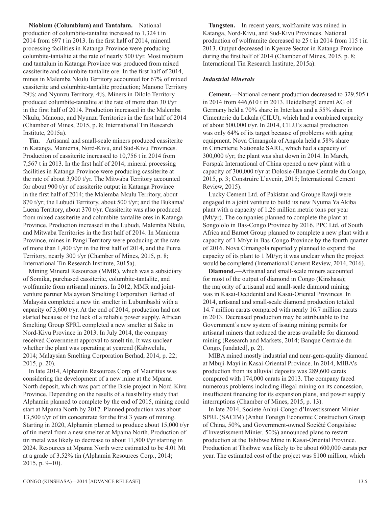**Niobium (Columbium) and Tantalum.**—National production of columbite-tantalite increased to 1,324 t in 2014 from 697 t in 2013. In the first half of 2014, mineral processing facilities in Katanga Province were producing columbite-tantalite at the rate of nearly 500 t/yr. Most niobium and tantalum in Katanga Province was produced from mixed cassiterite and columbite-tantalite ore. In the first half of 2014, mines in Malemba Nkulu Territory accounted for 67% of mixed cassiterite and columbite-tantalite production; Manono Territory 29%; and Nyunzu Territory, 4%. Miners in Dilolo Territory produced columbite-tantalite at the rate of more than 30 t/yr in the first half of 2014. Production increased in the Malemba Nkulu, Manono, and Nyunzu Territories in the first half of 2014 (Chamber of Mines, 2015, p. 8; International Tin Research Institute, 2015a).

**Tin.**—Artisanal and small-scale miners produced cassiterite in Katanga, Maniema, Nord-Kivu, and Sud-Kivu Provinces. Production of cassiterite increased to 10,756 t in 2014 from 7,567 t in 2013. In the first half of 2014, mineral processing facilities in Katanga Province were producing cassiterite at the rate of about 3,900 t/yr. The Mitwaba Territory accounted for about 900 t/yr of cassiterite output in Katanga Province in the first half of 2014; the Malemba Nkulu Territory, about 870 t/yr; the Lubudi Territory, about 500 t/yr; and the Bukama/ Luena Territory, about 370 t/yr. Cassiterite was also produced from mixed cassiterite and columbite-tantalite ores in Katanga Province. Production increased in the Lubudi, Malemba Nkulu, and Mitwaba Territories in the first half of 2014. In Maniema Province, mines in Pangi Territory were producing at the rate of more than 1,400 t/yr in the first half of 2014, and the Punia Territory, nearly 300 t/yr (Chamber of Mines, 2015, p. 8; International Tin Research Institute, 2015a).

Mining Mineral Resources (MMR), which was a subsidiary of Somika, purchased cassiterite, columbite-tantalite, and wolframite from artisanal miners. In 2012, MMR and jointventure partner Malaysian Smelting Corporation Berhad of Malaysia completed a new tin smelter in Lubumbashi with a capacity of 3,600 t/yr. At the end of 2014, production had not started because of the lack of a reliable power supply. African Smelting Group SPRL completed a new smelter at Sake in Nord-Kivu Province in 2013. In July 2014, the company received Government approval to smelt tin. It was unclear whether the plant was operating at yearend (Kabwelulu, 2014; Malaysian Smelting Corporation Berhad, 2014, p. 22; 2015, p. 20).

In late 2014, Alphamin Resources Corp. of Mauritius was considering the development of a new mine at the Mpama North deposit, which was part of the Bisie project in Nord-Kivu Province. Depending on the results of a feasibility study that Alphamin planned to complete by the end of 2015, mining could start at Mpama North by 2017. Planned production was about 13,500 t/yr of tin concentrate for the first 3 years of mining. Starting in 2020, Alphamin planned to produce about 15,000 t/yr of tin metal from a new smelter at Mpama North. Production of tin metal was likely to decrease to about 11,800 t/yr starting in 2024. Resources at Mpama North were estimated to be 4.01 Mt at a grade of 3.52% tin (Alphamin Resources Corp., 2014; 2015, p. 9–10).

**Tungsten.**—In recent years, wolframite was mined in Katanga, Nord-Kivu, and Sud-Kivu Provinces. National production of wolframite decreased to 25 t in 2014 from 115 t in 2013. Output decreased in Kyenze Sector in Katanga Province during the first half of 2014 (Chamber of Mines, 2015, p. 8; International Tin Research Institute, 2015a).

#### *Industrial Minerals*

**Cement.**—National cement production decreased to 329,505 t in 2014 from 446,610 t in 2013. HeidelbergCement AG of Germany held a 70% share in Interlacs and a 55% share in Cimenterie du Lukala (CILU), which had a combined capacity of about 500,000 t/yr. In 2014, CILU's actual production was only 64% of its target because of problems with aging equipment. Nova Cimangola of Angola held a 58% share in Cimenterie Nationale SARL, which had a capacity of 300,000 t/yr; the plant was shut down in 2014. In March, Forspak International of China opened a new plant with a capacity of 300,000 t/yr at Dolosie (Banque Centrale du Congo, 2015, p. 3; Construire L'avenir, 2015; International Cement Review, 2015).

Lucky Cement Ltd. of Pakistan and Groupe Rawji were engaged in a joint venture to build its new Nyuma Ya Akiba plant with a capacity of 1.26 million metric tons per year (Mt/yr). The companies planned to complete the plant at Songololo in Bas-Congo Province by 2016. PPC Ltd. of South Africa and Barnet Group planned to complete a new plant with a capacity of 1 Mt/yr in Bas-Congo Province by the fourth quarter of 2016. Nova Cimangola reportedly planned to expand the capacity of its plant to 1 Mt/yr; it was unclear when the project would be completed (International Cement Review, 2014, 2016).

**Diamond.**—Artisanal and small-scale miners accounted for most of the output of diamond in Congo (Kinshasa); the majority of artisanal and small-scale diamond mining was in Kasai-Occidental and Kasai-Oriental Provinces. In 2014, artisanal and small-scale diamond production totaled 14.7 million carats compared with nearly 16.7 million carats in 2013. Decreased production may be attributable to the Government's new system of issuing mining permits for artisanal miners that reduced the areas available for diamond mining (Research and Markets, 2014; Banque Centrale du Congo, [undated], p. 2).

MIBA mined mostly industrial and near-gem-quality diamond at Mbuji-Mayi in Kasai-Oriental Province. In 2014, MIBA's production from its alluvial deposits was 289,600 carats compared with 174,000 carats in 2013. The company faced numerous problems including illegal mining on its concession, insufficient financing for its expansion plans, and power supply interruptions (Chamber of Mines, 2015, p. 13).

In late 2014, Societe Anhui-Congo d'Investissment Minier SPRL (SACIM) (Anhui Foreign Economic Construction Group of China, 50%, and Government-owned Société Congolaise d'Investissment Minier, 50%) announced plans to restart production at the Tshibwe Mine in Kasai-Oriental Province. Production at Thsibwe was likely to be about 600,000 carats per year. The estimated cost of the project was \$100 million, which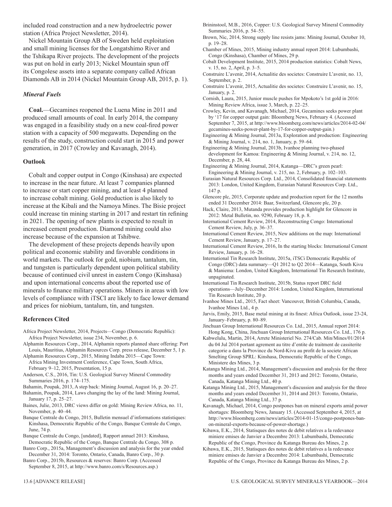included road construction and a new hydroelectric power station (Africa Project Newsletter, 2014).

Nickel Mountain Group AB of Sweden held exploitation and small mining licenses for the Longatshimo River and the Tshikapa River projects. The development of the projects was put on hold in early 2013; Nickel Mountain spun off its Congolese assets into a separate company called African Diamonds AB in 2014 (Nickel Mountain Group AB, 2015, p. 1).

#### *Mineral Fuels*

**Coal.**—Gecamines reopened the Luena Mine in 2011 and produced small amounts of coal. In early 2014, the company was engaged in a feasibility study on a new coal-fired power station with a capacity of 500 megawatts. Depending on the results of the study, construction could start in 2015 and power generation, in 2017 (Crowley and Kavanagh, 2014).

#### **Outlook**

Cobalt and copper output in Congo (Kinshasa) are expected to increase in the near future. At least 7 companies planned to increase or start copper mining, and at least 4 planned to increase cobalt mining. Gold production is also likely to increase at the Kibali and the Namoya Mines. The Bisie project could increase tin mining starting in 2017 and restart tin refining in 2021. The opening of new plants is expected to result in increased cement production. Diamond mining could also increase because of the expansion at Tshibwe.

The development of these projects depends heavily upon political and economic stability and favorable conditions in world markets. The outlook for gold, niobium, tantalum, tin, and tungsten is particularly dependent upon political stability because of continued civil unrest in eastern Congo (Kinshasa) and upon international concerns about the reported use of minerals to finance military operations. Miners in areas with low levels of compliance with iTSCI are likely to face lower demand and prices for niobium, tantalum, tin, and tungsten.

#### **References Cited**

- Africa Project Newsletter, 2014, Projects—Congo (Democratic Republic): Africa Project Newsletter, issue 234, November, p. 6.
- Alphamin Resources Corp., 2014, Alphamin reports planned share offering: Port Louis, Mauritius, Alphamin Resources Corp. press release, December 5, 1 p.
- Alphamin Resources Corp., 2015, Mining Indaba 2015—Cape Town: Africa Mining Investment Conference, Cape Town, South Africa, February 9–12, 2015, Presentation, 15 p.
- Anderson, C.S., 2016, Tin: U.S. Geological Survey Mineral Commodity Summaries 2016, p. 174–175.
- Bahamin, Poupak, 2013, A step back: Mining Journal, August 16, p. 20–27.
- Bahamin, Poupak, 2014, Laws changing the lay of the land: Mining Journal, January 17, p. 25–27.
- Baines, Julie, 2013, DRC views differ on gold: Mining Review Africa, no. 11, November, p. 40–44.
- Banque Centrale du Congo, 2015, Bulletin mensuel d'informations statistiques: Kinshasa, Democratic Republic of the Congo, Banque Centrale du Congo, June, 74 p.
- Banque Centrale du Congo, [undated], Rapport annuel 2013: Kinshasa, Democratic Republic of the Congo, Banque Centrale du Congo, 308 p.
- Banro Corp., 2015a, Management's discussion and analysis for the year ended December 31, 2014: Toronto, Ontario, Canada, Banro Corp., 30 p.
- Banro Corp., 2015b, Resources & reserves: Banro Corp. (Accessed September 8, 2015, at http://www.banro.com/s/Resources.asp.)
- Brininstool, M.B., 2016, Copper: U.S. Geological Survey Mineral Commodity Summaries 2016, p. 54–55.
- Brown, Nic, 2014, Strong supply line resists jams: Mining Journal, October 10, p. 19–28.
- Chamber of Mines, 2015, Mining industry annual report 2014: Lubumbashi, Congo (Kinshasa), Chamber of Mines, 29 p.
- Cobalt Development Institute, 2015, 2014 production statistics: Cobalt News, v. 15, no. 2, April, p. 3–5.
- Construire L'avenir, 2014, Actualitie des societes: Construire L'avenir, no. 13, September, p. 2.
- Construire L'avenir, 2015, Actualitie des societes: Construire L'avenir, no. 15, January, p. 2.
- Cornish, Laura, 2015, Junior muscle pushes for Mpokoto's 1st gold in 2016: Mining Review Africa, issue 3, March, p. 22–25.
- Crowley, Kevin, and Kavanagh, Michael, 2014, Gecamines seeks power plant by '17 for copper output gain: Bloomberg News, February 4. (Accessed September 7, 2015, at http://www.bloomberg.com/news/articles/2014-02-04/ gecamines-seeks-power-plant-by-17-for-copper-output-gain.)
- Engineering & Mining Journal, 2013a, Exploration and production: Engineering & Mining Journal, v. 214, no. 1, January, p. 59–64.
- Engineering & Mining Journal, 2013b, Ivanhoe planning two-phased development for Kamoa: Engineering & Mining Journal, v. 214, no. 12, December, p. 28, 44.
- Engineering & Mining Journal, 2014, Katanga—DRC's green pearl: Engineering & Mining Journal, v. 215, no. 2, February, p. 102–103.
- Eurasian Natural Resources Corp. Ltd., 2014, Consolidated financial statements 2013: London, United Kingdom, Eurasian Natural Resources Corp. Ltd., 147 p.
- Glencore plc, 2015, Corporate update and production report for the 12 months ended 31 December 2014: Baar, Switzerland, Glencore plc, 20 p.
- Hack, Claire, 2013, Mutanda provides production highlight for Glencore in 2012: Metal Bulletin, no. 9290, February 18, p. 8.
- International Cement Review, 2014, Reconstructing Congo: International Cement Review, July, p. 36–37.
- International Cement Review, 2015, New additions on the map: International Cement Review, January, p. 17–27.
- International Cement Review, 2016, In the starting blocks: International Cement Review, January, p. 16–28.
- International Tin Research Institute, 2015a, iTSCi Democratic Republic of Congo (DRC) data summary—Q1 2012 to Q2 2014—Katanga, South Kivu & Maniema: London, United Kingdom, International Tin Research Institute, unpaginated.
- International Tin Research Institute, 2015b, Status report DRC field operations—July–December 2014: London, United Kingdom, International Tin Research Institute, 20 p.
- Ivanhoe Mines Ltd., 2015, Fact sheet: Vancouver, British Columbia, Canada, Ivanhoe Mines Ltd., 4 p.
- Jarvis, Emily, 2015, Base metal mining at its finest: Africa Outlook, issue 23-24, January–February, p. 80–89.
- Jinchuan Group International Resources Co. Ltd., 2015, Annual report 2014: Hong Kong, China, Jinchuan Group International Resources Co. Ltd., 176 p.
- Kabwelulu, Martin, 2014, Arrete Ministeriel No. 274/Cab. Min/Mines/01/2014 du 04 Jul 2014 portant agrement au titre d'entite de traitment de cassiterite categorie a dans la Province du Nord-Kivu au profit de la societe African Smelting Group SPRL: Kinshasa, Democratic Republic of the Congo, Ministere des Mines, 3 p.
- Katanga Mining Ltd., 2014, Management's discussion and analysis for the three months and years ended December 31, 2013 and 2012: Toronto, Ontario, Canada, Katanga Mining Ltd., 40 p.
- Katanga Mining Ltd., 2015, Management's discussion and analysis for the three months and years ended December 31, 2014 and 2013: Toronto, Ontario, Canada, Katanga Mining Ltd., 37 p.
- Kavanagh, Michael, 2014, Congo postpones ban on mineral exports amid power shortages: Bloomberg News, January 15. (Accessed September 4, 2015, at http://www.bloomberg.com/news/articles/2014-01-15/congo-postpones-banon-mineral-exports-because-of-power-shortage.)
- Kibawa, E.K., 2014, Statisques des notes de debit relatives a la redevance miniere emises de Janvier a Decembre 2013: Lubumbashi, Democratic Republic of the Congo, Province du Katanga Bureau des Mines, 2 p.
- Kibawa, E.K., 2015, Statisques des notes de debit relatives a la redevance miniere emises de Janvier a Decembre 2014: Lubumbashi, Democratic Republic of the Congo, Province du Katanga Bureau des Mines, 2 p.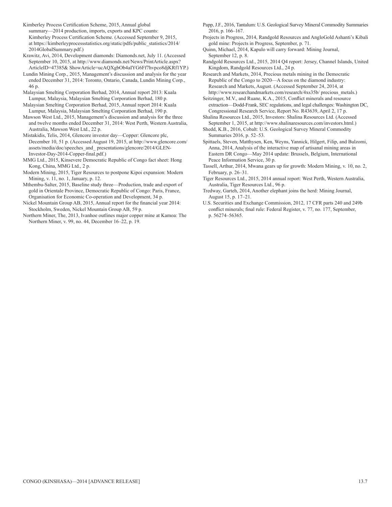Kimberley Process Certification Scheme, 2015, Annual global

summary—2014 production, imports, exports and KPC counts: Kimberley Process Certification Scheme. (Accessed September 9, 2015, at https://kimberleyprocessstatistics.org/static/pdfs/public\_statistics/2014/ 2014GlobalSummary.pdf.)

Krawitz, Avi, 2014, Development diamonds: Diamonds.net, July 11. (Accessed September 10, 2015, at http://www.diamonds.net/News/PrintArticle.aspx? ArticleID=47385& ShowArticle=ucAQXgbOb4aIYG6Ff7hvpco8djKRf1YP.)

- Lundin Mining Corp., 2015, Management's discussion and analysis for the year ended December 31, 2014: Toronto, Ontario, Canada, Lundin Mining Corp., 46 p.
- Malaysian Smelting Corporation Berhad, 2014, Annual report 2013: Kuala Lumpur, Malaysia, Malaysian Smelting Corporation Berhad, 180 p.

Malaysian Smelting Corporation Berhad, 2015, Annual report 2014: Kuala Lumpur, Malaysia, Malaysian Smelting Corporation Berhad, 190 p.

Mawson West Ltd., 2015, Management's discussion and analysis for the three and twelve months ended December 31, 2014: West Perth, Western Australia, Australia, Mawson West Ltd., 22 p.

- Mistakidis, Telis, 2014, Glencore investor day—Copper: Glencore plc, December 10, 51 p. (Accessed August 19, 2015, at http://www.glencore.com/ assets/media/doc/speeches\_and\_ presentations/glencore/2014/GLEN-Investor-Day-2014-Copper-final.pdf.)
- MMG Ltd., 2015, Kinsevere Democratic Republic of Congo fact sheet: Hong Kong, China, MMG Ltd., 2 p.

Modern Mining, 2015, Tiger Resources to postpone Kipoi expansion: Modern Mining, v. 11, no. 1, January, p. 12.

Mthembu-Salter, 2015, Baseline study three—Production, trade and export of gold in Orientale Province, Democratic Republic of Congo: Paris, France, Organisation for Economic Co-operation and Development, 34 p.

Nickel Mountain Group AB, 2015, Annual report for the financial year 2014: Stockholm, Sweden, Nickel Mountain Group AB, 59 p.

Northern Miner, The, 2013, Ivanhoe outlines major copper mine at Kamoa: The Northern Miner, v. 99, no. 44, December 16–22, p. 19.

Papp, J.F., 2016, Tantalum: U.S. Geological Survey Mineral Commodity Summaries 2016, p. 166–167.

Projects in Progress, 2014, Randgold Resources and AngloGold Ashanti's Kibali gold mine: Projects in Progress, September, p. 71.

Quinn, Michael, 2014, Kapulo will carry forward: Mining Journal, September 12, p. 8.

Randgold Resources Ltd., 2015, 2014 Q4 report: Jersey, Channel Islands, United Kingdom, Randgold Resources Ltd., 24 p.

Research and Markets, 2014, Precious metals mining in the Democratic Republic of the Congo to 2020—A focus on the diamond industry: Research and Markets, August. (Accessed September 24, 2014, at http://www.researchandmarkets.com/research/4xs35b/ precious\_metals.)

Seitzinger, M.V., and Ruane, K.A., 2015, Conflict minerals and resource extraction—Dodd-Frank, SEC regulations, and legal challenges: Washington DC, Congressional Research Service, Report No. R43639, April 2, 17 p.

Shalina Resources Ltd., 2015, Investors: Shalina Resources Ltd. (Accessed September 1, 2015, at http://www.shalinaresources.com/investors.html.)

Shedd, K.B., 2016, Cobalt: U.S. Geological Survey Mineral Commodity Summaries 2016, p. 52–53.

Spittaels, Steven, Matthysen, Ken, Weyns, Yannick, Hilgert, Filip, and Bulzomi, Anna, 2014, Analysis of the interactive map of artisanal mining areas in Eastern DR Congo—May 2014 update: Brussels, Belgium, International Peace Information Service, 30 p.

Tassell, Arthur, 2014, Mwana gears up for growth: Modern Mining, v. 10, no. 2, February, p. 26–31.

Tiger Resources Ltd., 2015, 2014 annual report: West Perth, Western Australia, Australia, Tiger Resources Ltd., 96 p.

Tredway, Garteh, 2014, Another elephant joins the herd: Mining Journal, August 15, p. 17–21.

U.S. Securities and Exchange Commission, 2012, 17 CFR parts 240 and 249b conflict minerals; final rule: Federal Register, v. 77, no. 177, September, p. 56274–56365.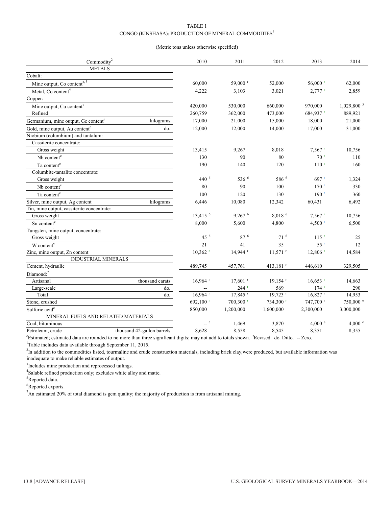#### TaBLE 1 CONGO (KINSHASA): PRODUCTION OF MINERAL COMMODITIES<sup>1</sup>

#### (Metric tons unless otherwise specified)

| Commodity <sup>2</sup>                                       | 2010                     | 2011                  | 2012                  | 2013                  | 2014                     |
|--------------------------------------------------------------|--------------------------|-----------------------|-----------------------|-----------------------|--------------------------|
| <b>METALS</b>                                                |                          |                       |                       |                       |                          |
| Cobalt:                                                      |                          |                       |                       |                       |                          |
| Mine output, Co contente, 3                                  | 60,000                   | 59,000 <sup>r</sup>   | 52,000                | $56,000$ <sup>r</sup> | 62,000                   |
| Metal, Co content <sup>4</sup>                               | 4,222                    | 3,103                 | 3,021                 | $2,777$ <sup>r</sup>  | 2,859                    |
| Copper:                                                      |                          |                       |                       |                       |                          |
| Mine output, Cu content <sup>e</sup>                         | 420,000                  | 530,000               | 660,000               | 970,000               | $1,029,800$ <sup>5</sup> |
| Refined                                                      | 260,759                  | 362,000               | 473,000               | 684,937 r             | 889,921                  |
| kilograms<br>Germanium, mine output, Ge content <sup>e</sup> | 17,000                   | 21,000                | 15,000                | 18,000                | 21,000                   |
| do.<br>Gold, mine output, Au content <sup>e</sup>            | 12,000                   | 12,000                | 14,000                | 17,000                | 31,000                   |
| Niobium (columbium) and tantalum:                            |                          |                       |                       |                       |                          |
| Cassiterite concentrate:                                     |                          |                       |                       |                       |                          |
| Gross weight                                                 | 13,415                   | 9,267                 | 8,018                 | $7,567$ <sup>r</sup>  | 10,756                   |
| Nb content <sup>e</sup>                                      | 130                      | 90                    | 80                    | 70 <sup>r</sup>       | 110                      |
| Ta content <sup>e</sup>                                      | 190                      | 140                   | 120                   | 110 <sup>r</sup>      | 160                      |
| Columbite-tantalite concentrate:                             |                          |                       |                       |                       |                          |
| Gross weight                                                 | 440 6                    | $536^{6}$             | 586 6                 | $697$ <sup>r</sup>    | 1,324                    |
| Nb content <sup>e</sup>                                      | 80                       | 90                    | 100                   | $170$ <sup>r</sup>    | 330                      |
| Ta content <sup>e</sup>                                      | 100                      | 120                   | 130                   | 190 <sup>r</sup>      | 360                      |
| Silver, mine output, Ag content<br>kilograms                 | 6,446                    | 10,080                | 12,342                | 60,431                | 6,492                    |
| Tin, mine output, cassiterite concentrate:                   |                          |                       |                       |                       |                          |
| Gross weight                                                 | 13,415 6                 | 9.267 <sup>6</sup>    | 8,018 6               | $7.567$ <sup>r</sup>  | 10,756                   |
| Sn content <sup>e</sup>                                      | 8,000                    | 5,600                 | 4,800                 | $4,500$ <sup>r</sup>  | 6,500                    |
| Tungsten, mine output, concentrate:                          |                          |                       |                       |                       |                          |
| Gross weight                                                 | 45 6                     | 87 <sup>6</sup>       | 71 <sup>6</sup>       | $115$ <sup>r</sup>    | 25                       |
| W content <sup>e</sup>                                       | 21                       | 41                    | 35                    | $55$ <sup>r</sup>     | 12                       |
| Zinc, mine output, Zn content                                | $10,362$ <sup>r</sup>    | $14,944$ <sup>r</sup> | $11,571$ <sup>r</sup> | $12,806$ <sup>r</sup> | 14,584                   |
| <b>INDUSTRIAL MINERALS</b>                                   |                          |                       |                       |                       |                          |
| Cement, hydraulic                                            | 489,745                  | 457,761               | 413,181 $r$           | 446,610               | 329,505                  |
| Diamond:7                                                    |                          |                       |                       |                       |                          |
| thousand carats<br>Artisanal                                 | $16,964$ <sup>r</sup>    | $17,601$ <sup>r</sup> | $19,154$ <sup>r</sup> | $16,653$ <sup>r</sup> | 14,663                   |
| Large-scale<br>do.                                           | $\overline{\phantom{a}}$ | $244$ <sup>r</sup>    | 569                   | $174$ <sup>r</sup>    | 290                      |
| Total<br>do.                                                 | $16,964$ <sup>r</sup>    | 17,845 r              | 19,723 r              | $16,827$ <sup>r</sup> | 14,953                   |
| Stone, crushed                                               | 692,100 <sup>r</sup>     | 700,300 r             | 734,300 r             | 747,700 r             | 750,000 e                |
| Sulfuric acid <sup>e</sup>                                   | 850,000                  | 1,200,000             | 1,600,000             | 2,300,000             | 3,000,000                |
| MINERAL FUELS AND RELATED MATERIALS                          |                          |                       |                       |                       |                          |
| Coal, bituminous                                             | $-$ e                    | 1,469                 | 3,870                 | 4,000 e               | 4,000 e                  |
| thousand 42-gallon barrels<br>Petroleum, crude               | 8,628                    | 8,558                 | 8,545                 | 8,351                 | 8,355                    |

<sup>e</sup> Estimated; estimated data are rounded to no more than three significant digits; may not add to totals shown. <sup>r</sup> Revised. do. Ditto. -- Zero.

<sup>1</sup>Table includes data available through September 11, 2015.

<sup>2</sup>In addition to the commodities listed, tourmaline and crude construction materials, including brick clay,were produced, but available information was inadequate to make reliable estimates of output.

<sup>3</sup>Includes mine production and reprocessed tailings.

<sup>4</sup>Salable refined production only; excludes white alloy and matte.

<sup>5</sup>Reported data.

<sup>6</sup>Reported exports.

<sup>7</sup>An estimated 20% of total diamond is gem quality; the majority of production is from artisanal mining.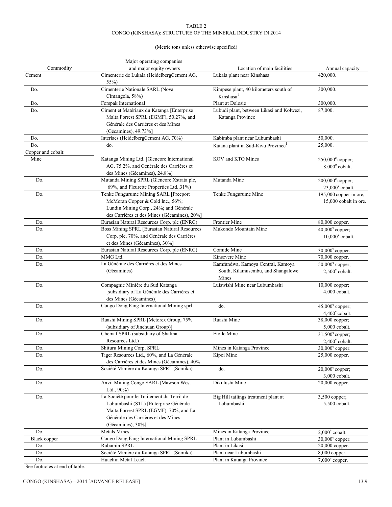#### TaBLE 2 CONGO (KINSHASA): STRUCTURE OF THE MINERAL INDUSTRY IN 2014

(Metric tons unless otherwise specified)

|                    | Major operating companies                             |                                                                         |                                                     |
|--------------------|-------------------------------------------------------|-------------------------------------------------------------------------|-----------------------------------------------------|
| Commodity          | and major equity owners                               | Location of main facilities                                             | Annual capacity                                     |
| Cement             | Cimenterie de Lukala (HeidelbergCement AG,<br>55%)    | Lukala plant near Kinshasa                                              | 420,000.                                            |
| Do.                | Cimenterie Nationale SARL (Nova                       | Kimpese plant, 40 kilometers south of                                   | 300,000.                                            |
|                    | Cimangola, 58%)                                       | Kinshasa <sup>1</sup>                                                   |                                                     |
| Do.                | Forspak International                                 | Plant at Dolosie                                                        | 300,000.                                            |
| Do.                | Ciment et Matériaux du Katanga [Enterprise            | Lubudi plant, between Likasi and Kolwezi,                               | 87,000.                                             |
|                    | Malta Forrest SPRL (EGMF), 50.27%, and                | Katanga Province                                                        |                                                     |
|                    | Générale des Carrières et des Mines                   |                                                                         |                                                     |
|                    | (Gécamines), 49.73%]                                  |                                                                         |                                                     |
| Do.                | Interlacs (HeidelbergCement AG, 70%)                  | Kabimba plant near Lubumbashi                                           | 50,000.                                             |
| Do.                | do.                                                   | Katana plant in Sud-Kivu Province <sup>1</sup>                          | 25,000.                                             |
| Copper and cobalt: |                                                       |                                                                         |                                                     |
| Mine               | Katanga Mining Ltd. [Glencore International           | KOV and KTO Mines                                                       | $250,000^{\circ}$ copper;                           |
|                    | AG, 75.2%, and Générale des Carrières et              |                                                                         | $8,000^{\circ}$ cobalt.                             |
|                    | des Mines (Gécamines), 24.8%]                         |                                                                         |                                                     |
| Do.                | Mutanda Mining SPRL (Glencore Xstrata plc,            | Mutanda Mine                                                            | $200,000^{\circ}$ copper;                           |
|                    | 69%, and Fleurette Properties Ltd., 31%)              |                                                                         | $23,000^{\circ}$ cobalt.                            |
| Do.                | Tenke Fungurume Mining SARL [Freeport                 | Tenke Fungurume Mine                                                    | 195,000 copper in ore;                              |
|                    | McMoran Copper & Gold Inc., 56%;                      |                                                                         | 15,000 cobalt in ore.                               |
|                    | Lundin Mining Corp., 24%; and Générale                |                                                                         |                                                     |
|                    | des Carrières et des Mines (Gécamines), 20%]          |                                                                         |                                                     |
| Do.                | Eurasian Natural Resources Corp. plc (ENRC)           | Frontier Mine                                                           | 80,000 copper.                                      |
| Do.                | Boss Mining SPRL [Eurasian Natural Resources          | Mukondo Mountain Mine                                                   | $40,000^{\circ}$ copper;                            |
|                    | Corp. plc, 70%, and Générale des Carrières            |                                                                         | $10,000^{\circ}$ cobalt.                            |
|                    | et des Mines (Gécamines), 30%]                        |                                                                         |                                                     |
| Do.                | Eurasian Natural Resources Corp. plc (ENRC)           | Comide Mine                                                             | $30,000^{\circ}$ copper.                            |
| Do.                | MMG Ltd.                                              | Kinsevere Mine                                                          | 70,000 copper.                                      |
| Do.                | La Générale des Carrières et des Mines<br>(Gécamines) | Kamfundwa, Kamoya Central, Kamoya<br>South, Kilamusembu, and Shangalowe | $50,000^{\circ}$ copper;<br>$2,500^{\circ}$ cobalt. |
|                    |                                                       | Mines                                                                   |                                                     |
| Do.                | Compagnie Minière du Sud Katanga                      | Luiswishi Mine near Lubumbashi                                          | 10,000 copper;                                      |
|                    | [subsidiary of La Générale des Carrières et           |                                                                         | 4,000 cobalt.                                       |
|                    | des Mines (Gécamines)]                                |                                                                         |                                                     |
| Do.                | Congo Dong Fang International Mining sprl             | do.                                                                     | $45,000^{\circ}$ copper;                            |
|                    | Ruashi Mining SPRL [Metorex Group, 75%                | Ruashi Mine                                                             | $4,400^{\circ}$ cobalt.                             |
| Do.                | (subsidiary of Jinchuan Group)]                       |                                                                         | 38,000 copper;<br>5,000 cobalt.                     |
|                    | Chemaf SPRL (subsidiary of Shalina                    | Etoile Mine                                                             |                                                     |
| Do.                | Resources Ltd.)                                       |                                                                         | $31,500^{\circ}$ copper;<br>$2,400^{\circ}$ cobalt. |
| Do.                | Shituru Mining Corp. SPRL                             | Mines in Katanga Province                                               | $30,000^{\circ}$ copper.                            |
| Do.                | Tiger Resources Ltd., 60%, and La Générale            | Kipoi Mine                                                              | 25,000 copper.                                      |
|                    | des Carrières et des Mines (Gécamines), 40%           |                                                                         |                                                     |
| Do.                | Société Minière du Katanga SPRL (Somika)              | do.                                                                     | $20,000^{\circ}$ copper;                            |
|                    |                                                       |                                                                         | 3,000 cobalt.                                       |
| Do.                | Anvil Mining Congo SARL (Mawson West                  | Dikulushi Mine                                                          | 20,000 copper.                                      |
|                    | Ltd., $90\%$ )                                        |                                                                         |                                                     |
| Do.                | La Société pour le Traitement du Terril de            | Big Hill tailings treatment plant at                                    | $3,500$ copper;                                     |
|                    | Lubumbashi (STL) [Enterprise Générale                 | Lubumbashi                                                              | 5,500 cobalt.                                       |
|                    | Malta Forrest SPRL (EGMF), 70%, and La                |                                                                         |                                                     |
|                    | Générale des Carrières et des Mines                   |                                                                         |                                                     |
|                    | (Gécamines), 30%]                                     |                                                                         |                                                     |
| Do.                | <b>Metals Mines</b>                                   | Mines in Katanga Province                                               | $2,000^{\circ}$ cobalt.                             |
| Black copper       | Congo Dong Fang International Mining SPRL             | Plant in Lubumbashi                                                     | $30,000^{\circ}$ copper.                            |
| Do.                | Rubamin SPRL                                          | Plant in Likasi                                                         | 20,000 copper.                                      |
| Do.                | Société Minière du Katanga SPRL (Somika)              | Plant near Lubumbashi                                                   | 8,000 copper.                                       |
| Do.                | Huachin Metal Leach                                   | Plant in Katanga Province                                               | $7,000^{\circ}$ copper.                             |
|                    |                                                       |                                                                         |                                                     |

See footnotes at end of table.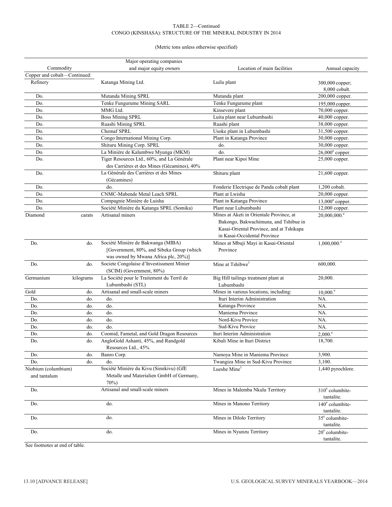#### TaBLE 2—Continued CONGO (KINSHASA): STRUCTURE OF THE MINERAL INDUSTRY IN 2014

#### (Metric tons unless otherwise specified)

|                              |           | Major operating companies                                                                                               |                                                                                                                   |                                        |
|------------------------------|-----------|-------------------------------------------------------------------------------------------------------------------------|-------------------------------------------------------------------------------------------------------------------|----------------------------------------|
| Commodity                    |           | and major equity owners                                                                                                 | Location of main facilities                                                                                       | Annual capacity                        |
| Copper and cobalt-Continued: |           |                                                                                                                         |                                                                                                                   |                                        |
| Refinery                     |           | Katanga Mining Ltd.                                                                                                     | Luilu plant                                                                                                       | 300,000 copper;<br>8,000 cobalt.       |
| Do.                          |           | Mutanda Mining SPRL                                                                                                     | Mutanda plant                                                                                                     | 200,000 copper.                        |
| Do.                          |           | Tenke Fungurume Mining SARL                                                                                             | Tenke Fungurume plant                                                                                             | 195,000 copper.                        |
| Do.                          |           | MMG Ltd.                                                                                                                | Kinsevere plant                                                                                                   | 70,000 copper.                         |
| Do.                          |           | <b>Boss Mining SPRL</b>                                                                                                 | Luita plant near Lubumbashi                                                                                       | 40,000 copper.                         |
| Do.                          |           | Ruashi Mining SPRL                                                                                                      | Ruashi plant                                                                                                      | 38,000 copper.                         |
| Do.                          |           | Chemaf SPRL                                                                                                             | Usoke plant in Lubumbashi                                                                                         | 31,500 copper.                         |
| Do.                          |           | Congo International Mining Corp.                                                                                        | Plant in Katanga Province                                                                                         | 30,000 copper.                         |
| Do.                          |           | Shituru Mining Corp. SPRL                                                                                               | do.                                                                                                               | 30,000 copper.                         |
| Do.                          |           | La Minière de Kalumbwe Myunga (MKM)                                                                                     | do.                                                                                                               | $26,000^{\circ}$ copper.               |
| Do.                          |           | Tiger Resources Ltd., 60%, and La Générale                                                                              | Plant near Kipoi Mine                                                                                             | 25,000 copper.                         |
|                              |           | des Carrières et des Mines (Gécamines), 40%                                                                             |                                                                                                                   |                                        |
| Do.                          |           | La Générale des Carrières et des Mines<br>(Gécamines)                                                                   | Shituru plant                                                                                                     | 21,600 copper.                         |
| Do.                          |           | do.                                                                                                                     | Fonderie Electrique de Panda cobalt plant                                                                         | 1,200 cobalt.                          |
| Do.                          |           | CNMC-Mabende Metal Leach SPRL                                                                                           | Plant at Lwisha                                                                                                   | 20,000 copper.                         |
| Do.                          |           | Compagnie Minière de Luisha                                                                                             | Plant in Katanga Province                                                                                         | $13,000^{\circ}$ copper.               |
| Do.                          |           | Société Minière du Katanga SPRL (Somika)                                                                                | Plant near Lubumbashi                                                                                             | 12,000 copper.                         |
| Diamond                      | carats    | Artisanal miners                                                                                                        | Mines at Aketi in Orientale Province, at                                                                          | $20,000,000$ . <sup>e</sup>            |
|                              |           |                                                                                                                         | Bakongo, Bakwachimuna, and Tshibue in<br>Kasai-Oriental Province, and at Tshikapa<br>in Kasai-Occidental Province |                                        |
| Do.                          | do.       | Société Minière de Bakwanga (MIBA)<br>[Government, 80%, and Sibeka Group (which<br>was owned by Mwana Africa plc, 20%)] | Mines at Mbuji Mayi in Kasai-Oriental<br>Province                                                                 | $1,000,000$ . $^{\circ}$               |
| Do.                          | do.       | Societe Congolaise d'Investissment Minier<br>(SCIM) (Government, 80%)                                                   | Mine at Tshibwe <sup>1</sup>                                                                                      | 600,000.                               |
| Germanium                    | kilograms | La Société pour le Traitement du Terril de<br>Lubumbashi (STL)                                                          | Big Hill tailings treatment plant at<br>Lubumbashi                                                                | 20,000.                                |
| Gold                         | do.       | Artisanal and small-scale miners                                                                                        | Mines in various locations, including:                                                                            | $10,000$ .                             |
| Do.                          | do.       | do.                                                                                                                     | Ituri Interim Administration                                                                                      | NA.                                    |
| Do.                          | do.       | do.                                                                                                                     | Katanga Province                                                                                                  | NA.                                    |
| Do.                          | do.       | do.                                                                                                                     | Maniema Province                                                                                                  | NA.                                    |
| Do.                          | do.       | do.                                                                                                                     | Nord-Kivu Provice                                                                                                 | NA.                                    |
| Do.                          | do.       | do.                                                                                                                     | Sud-Kivu Provice                                                                                                  | NA.                                    |
| Do.                          | do.       | Coomid, Fametal, and Gold Dragon Resources                                                                              | Ituri Interim Administration                                                                                      | $2,000$ . <sup>e</sup>                 |
| Do.                          | do.       | AngloGold Ashanti, 45%, and Randgold<br>Resources Ltd., 45%                                                             | Kibali Mine in Ituri District                                                                                     | 18,700.                                |
| Do.                          | do.       | Banro Corp.                                                                                                             | Namoya Mine in Maniema Province                                                                                   | 3,900.                                 |
| Do.                          | do.       | do.                                                                                                                     | Twangiza Mine in Sud-Kivu Province                                                                                | 3,100.                                 |
| Niobium (columbium)          |           | Société Minière du Kivu (Simikivu) (GfE                                                                                 | Lueshe Mine                                                                                                       | 1,440 pyrochlore.                      |
| and tantalum                 |           | Metalle und Materialien GmbH of Germany,<br>70%)                                                                        |                                                                                                                   |                                        |
| Do.                          |           | Artisanal and small-scale miners                                                                                        | Mines in Malemba Nkulu Territory                                                                                  | $310^e$ columbite-<br>tantalite.       |
| Do.                          |           | do.                                                                                                                     | Mines in Manono Territory                                                                                         | $140^{\circ}$ columbite-<br>tantalite. |
| Do.                          |           | do.                                                                                                                     | Mines in Dilolo Territory                                                                                         | $35e$ columbite-<br>tantalite.         |
| Do.                          |           | do.                                                                                                                     | Mines in Nyunzu Territory                                                                                         | $20^{\circ}$ columbite-<br>tantalite.  |

See footnotes at end of table.